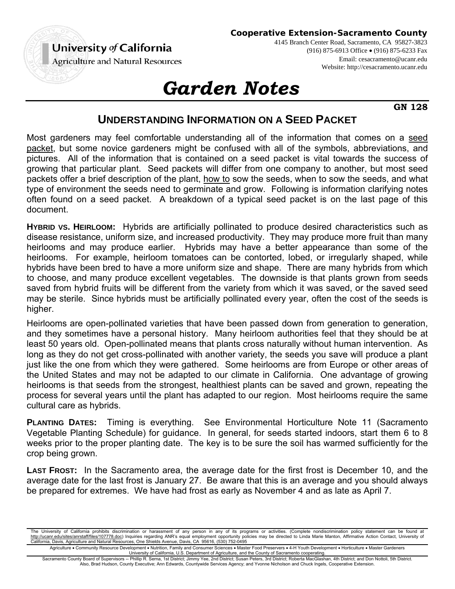

4145 Branch Center Road, Sacramento, CA 95827-3823 (916) 875-6913 Office (916) 875-6233 Fax Email: cesacramento@ucanr.edu Website: http://cesacramento.ucanr.edu

## *Garden Notes*

**GN 128**

## **UNDERSTANDING INFORMATION ON A SEED PACKET**

Most gardeners may feel comfortable understanding all of the information that comes on a seed packet, but some novice gardeners might be confused with all of the symbols, abbreviations, and pictures. All of the information that is contained on a seed packet is vital towards the success of growing that particular plant. Seed packets will differ from one company to another, but most seed packets offer a brief description of the plant, how to sow the seeds, when to sow the seeds, and what type of environment the seeds need to germinate and grow. Following is information clarifying notes often found on a seed packet. A breakdown of a typical seed packet is on the last page of this document.

**HYBRID VS. HEIRLOOM:** Hybrids are artificially pollinated to produce desired characteristics such as disease resistance, uniform size, and increased productivity. They may produce more fruit than many heirlooms and may produce earlier. Hybrids may have a better appearance than some of the heirlooms. For example, heirloom tomatoes can be contorted, lobed, or irregularly shaped, while hybrids have been bred to have a more uniform size and shape. There are many hybrids from which to choose, and many produce excellent vegetables. The downside is that plants grown from seeds saved from hybrid fruits will be different from the variety from which it was saved, or the saved seed may be sterile. Since hybrids must be artificially pollinated every year, often the cost of the seeds is higher.

Heirlooms are open-pollinated varieties that have been passed down from generation to generation, and they sometimes have a personal history. Many heirloom authorities feel that they should be at least 50 years old. Open-pollinated means that plants cross naturally without human intervention. As long as they do not get cross-pollinated with another variety, the seeds you save will produce a plant just like the one from which they were gathered. Some heirlooms are from Europe or other areas of the United States and may not be adapted to our climate in California. One advantage of growing heirlooms is that seeds from the strongest, healthiest plants can be saved and grown, repeating the process for several years until the plant has adapted to our region. Most heirlooms require the same cultural care as hybrids.

**PLANTING DATES:** Timing is everything. See Environmental Horticulture Note 11 (Sacramento Vegetable Planting Schedule) for guidance. In general, for seeds started indoors, start them 6 to 8 weeks prior to the proper planting date. The key is to be sure the soil has warmed sufficiently for the crop being grown.

**LAST FROST:** In the Sacramento area, the average date for the first frost is December 10, and the average date for the last frost is January 27. Be aware that this is an average and you should always be prepared for extremes. We have had frost as early as November 4 and as late as April 7.

The University of California prohibits discrimination or harassment of any person in any of its programs or activities. (Complete nondiscrimination policy statement can be found at http://ucanr.edu/sites/anrstaff/files/107778.doc) Inquiries regarding ANR's equal employment opportunity policies may be directed to Linda Marie Manton, Affirmative Action Contact, University of<br>California, Davis, Agricult

Agriculture . Community Resource Development . Nutrition, Family and Consumer Sciences . Master Food Preservers . 4-H Youth Development . Horticulture . Master Gardeners University of California, U.S. Department of Agriculture, and the County of Sacramento cooperating.

Sacramento County Board of Supervisors -- Phillip R. Serna, 1st District; Jimmy Yee, 2nd District; Susan Peters, 3rd District; Roberta MacGlashan, 4th District; and Don Nottoli, 5th District. Also, Brad Hudson, County Executive; Ann Edwards, Countywide Services Agency; and Yvonne Nicholson and Chuck Ingels, Cooperative Extension.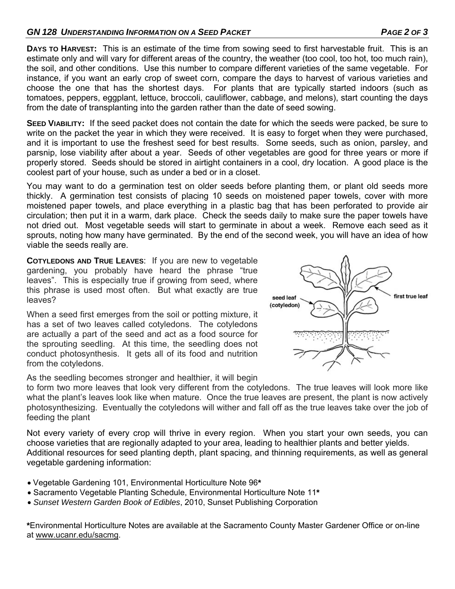## GN 128 UNDERSTANDING INFORMATION ON A SEED PACKET **And Information of ACCID PAGE 2 OF 3**

**DAYS TO HARVEST:** This is an estimate of the time from sowing seed to first harvestable fruit. This is an estimate only and will vary for different areas of the country, the weather (too cool, too hot, too much rain), the soil, and other conditions. Use this number to compare different varieties of the same vegetable. For instance, if you want an early crop of sweet corn, compare the days to harvest of various varieties and choose the one that has the shortest days. For plants that are typically started indoors (such as tomatoes, peppers, eggplant, lettuce, broccoli, cauliflower, cabbage, and melons), start counting the days from the date of transplanting into the garden rather than the date of seed sowing.

**SEED VIABILITY:** If the seed packet does not contain the date for which the seeds were packed, be sure to write on the packet the year in which they were received. It is easy to forget when they were purchased, and it is important to use the freshest seed for best results. Some seeds, such as onion, parsley, and parsnip, lose viability after about a year. Seeds of other vegetables are good for three years or more if properly stored. Seeds should be stored in airtight containers in a cool, dry location. A good place is the coolest part of your house, such as under a bed or in a closet.

You may want to do a germination test on older seeds before planting them, or plant old seeds more thickly. A germination test consists of placing 10 seeds on moistened paper towels, cover with more moistened paper towels, and place everything in a plastic bag that has been perforated to provide air circulation; then put it in a warm, dark place. Check the seeds daily to make sure the paper towels have not dried out. Most vegetable seeds will start to germinate in about a week. Remove each seed as it sprouts, noting how many have germinated. By the end of the second week, you will have an idea of how viable the seeds really are.

**COTYLEDONS AND TRUE LEAVES**: If you are new to vegetable gardening, you probably have heard the phrase "true leaves". This is especially true if growing from seed, where this phrase is used most often. But what exactly are true leaves?

When a seed first emerges from the soil or potting mixture, it has a set of two leaves called cotyledons. The cotyledons are actually a part of the seed and act as a food source for the sprouting seedling. At this time, the seedling does not conduct photosynthesis. It gets all of its food and nutrition from the cotyledons.



As the seedling becomes stronger and healthier, it will begin

to form two more leaves that look very different from the cotyledons. The true leaves will look more like what the plant's leaves look like when mature. Once the true leaves are present, the plant is now actively photosynthesizing. Eventually the cotyledons will wither and fall off as the true leaves take over the job of feeding the plant

Not every variety of every crop will thrive in every region. When you start your own seeds, you can choose varieties that are regionally adapted to your area, leading to healthier plants and better yields. Additional resources for seed planting depth, plant spacing, and thinning requirements, as well as general vegetable gardening information:

- Vegetable Gardening 101, Environmental Horticulture Note 96**\***
- Sacramento Vegetable Planting Schedule, Environmental Horticulture Note 11**\***
- *Sunset Western Garden Book of Edibles*, 2010, Sunset Publishing Corporation

**\***Environmental Horticulture Notes are available at the Sacramento County Master Gardener Office or on-line at www.ucanr.edu/sacmg.